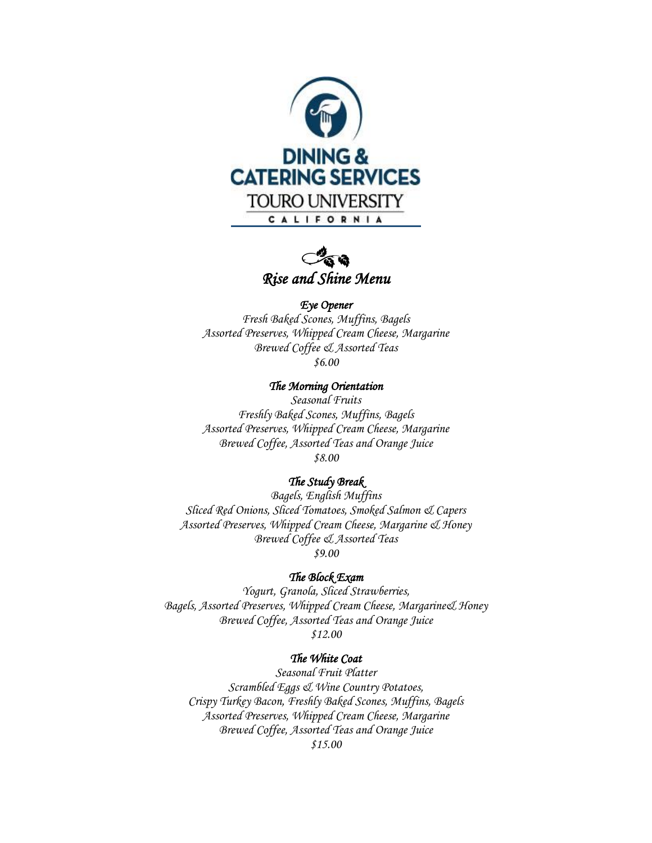



#### *Eye Opener*

*Fresh Baked Scones, Muffins, Bagels Assorted Preserves, Whipped Cream Cheese, Margarine Brewed Coffee & Assorted Teas \$6.00*

*The Morning Orientation* 

*Seasonal Fruits Freshly Baked Scones, Muffins, Bagels Assorted Preserves, Whipped Cream Cheese, Margarine Brewed Coffee, Assorted Teas and Orange Juice \$8.00*

#### *The Study Break*

*Bagels, English Muffins Sliced Red Onions, Sliced Tomatoes, Smoked Salmon & Capers Assorted Preserves, Whipped Cream Cheese, Margarine & Honey Brewed Coffee & Assorted Teas \$9.00*

#### *The Block Exam*

*Yogurt, Granola, Sliced Strawberries, Bagels, Assorted Preserves, Whipped Cream Cheese, Margarine& Honey Brewed Coffee, Assorted Teas and Orange Juice \$12.00*

#### *The White Coat*

*Seasonal Fruit Platter Scrambled Eggs & Wine Country Potatoes, Crispy Turkey Bacon, Freshly Baked Scones, Muffins, Bagels Assorted Preserves, Whipped Cream Cheese, Margarine Brewed Coffee, Assorted Teas and Orange Juice \$15.00*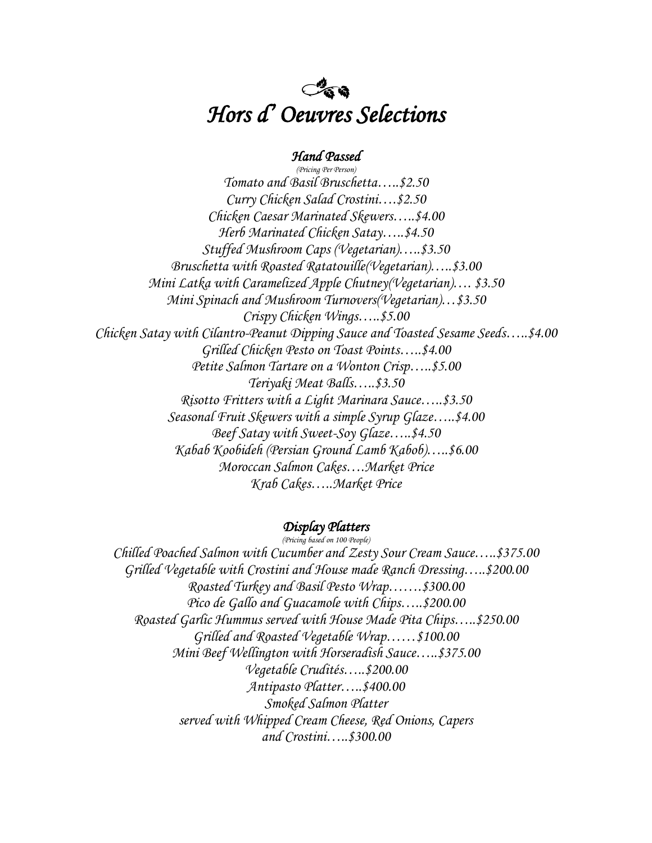## $C^2$  and *Hors d' Oeuvres Selections*

#### *Hand Passed*

*(Pricing Per Person) Tomato and Basil Bruschetta…..\$2.50 Curry Chicken Salad Crostini….\$2.50 Chicken Caesar Marinated Skewers…..\$4.00 Herb Marinated Chicken Satay…..\$4.50 Stuffed Mushroom Caps (Vegetarian)…..\$3.50 Bruschetta with Roasted Ratatouille(Vegetarian)…..\$3.00 Mini Latka with Caramelized Apple Chutney(Vegetarian)…. \$3.50 Mini Spinach and Mushroom Turnovers(Vegetarian)…\$3.50 Crispy Chicken Wings…..\$5.00 Chicken Satay with Cilantro-Peanut Dipping Sauce and Toasted Sesame Seeds…..\$4.00 Grilled Chicken Pesto on Toast Points…..\$4.00 Petite Salmon Tartare on a Wonton Crisp…..\$5.00 Teriyaki Meat Balls…..\$3.50 Risotto Fritters with a Light Marinara Sauce…..\$3.50 Seasonal Fruit Skewers with a simple Syrup Glaze…..\$4.00 Beef Satay with Sweet-Soy Glaze…..\$4.50 Kabab Koobideh (Persian Ground Lamb Kabob)…..\$6.00 Moroccan Salmon Cakes….Market Price Krab Cakes…..Market Price*

#### *Display Platters (Pricing based on 100 People)*

*Chilled Poached Salmon with Cucumber and Zesty Sour Cream Sauce…..\$375.00 Grilled Vegetable with Crostini and House made Ranch Dressing…..\$200.00 Roasted Turkey and Basil Pesto Wrap…….\$300.00 Pico de Gallo and Guacamole with Chips…..\$200.00 Roasted Garlic Hummus served with House Made Pita Chips…..\$250.00 Grilled and Roasted Vegetable Wrap……\$100.00 Mini Beef Wellington with Horseradish Sauce…..\$375.00 Vegetable Crudités…..\$200.00 Antipasto Platter…..\$400.00 Smoked Salmon Platter served with Whipped Cream Cheese, Red Onions, Capers and Crostini…..\$300.00*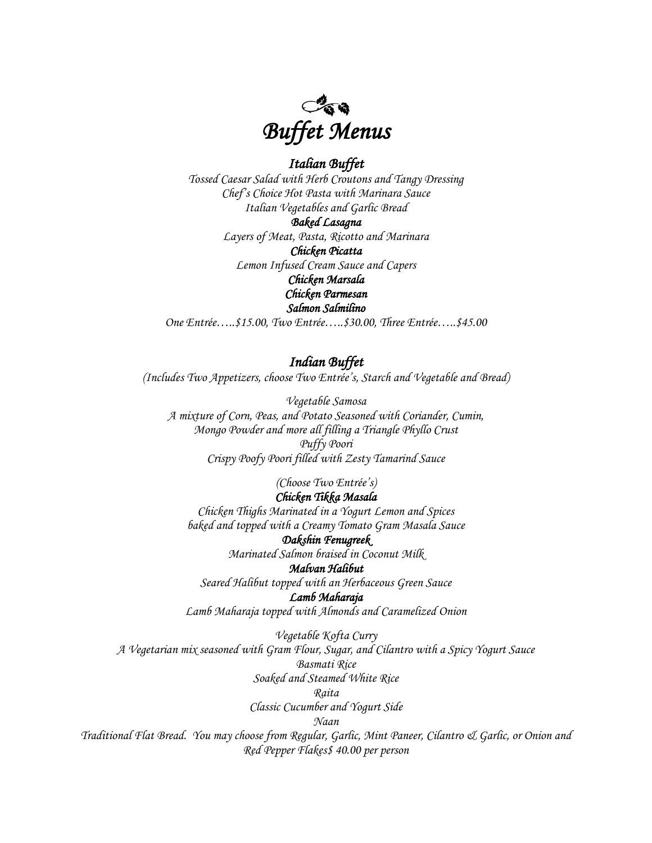

#### *Italian Buffet*

*Tossed Caesar Salad with Herb Croutons and Tangy Dressing Chef's Choice Hot Pasta with Marinara Sauce Italian Vegetables and Garlic Bread*

*Baked Lasagna* 

*Layers of Meat, Pasta, Ricotto and Marinara Chicken Picatta Lemon Infused Cream Sauce and Capers Chicken Marsala Chicken Parmesan Salmon Salmilino* 

*One Entrée…..\$15.00, Two Entrée…..\$30.00, Three Entrée…..\$45.00*

#### *Indian Buffet*

*(Includes Two Appetizers, choose Two Entrée's, Starch and Vegetable and Bread)*

*Vegetable Samosa A mixture of Corn, Peas, and Potato Seasoned with Coriander, Cumin, Mongo Powder and more all filling a Triangle Phyllo Crust Puffy Poori Crispy Poofy Poori filled with Zesty Tamarind Sauce*

*(Choose Two Entrée's)*

## *Chicken Tikka Masala*

*Chicken Thighs Marinated in a Yogurt Lemon and Spices baked and topped with a Creamy Tomato Gram Masala Sauce*

#### *Dakshin Fenugreek*

*Marinated Salmon braised in Coconut Milk*

## *Malvan Halibut*

*Seared Halibut topped with an Herbaceous Green Sauce*

*Lamb Maharaja* 

*Lamb Maharaja topped with Almonds and Caramelized Onion*

*Vegetable Kofta Curry*

*A Vegetarian mix seasoned with Gram Flour, Sugar, and Cilantro with a Spicy Yogurt Sauce*

*Basmati Rice*

*Soaked and Steamed White Rice*

#### *Raita*

*Classic Cucumber and Yogurt Side*

*Naan*

*Traditional Flat Bread. You may choose from Regular, Garlic, Mint Paneer, Cilantro & Garlic, or Onion and Red Pepper Flakes\$ 40.00 per person*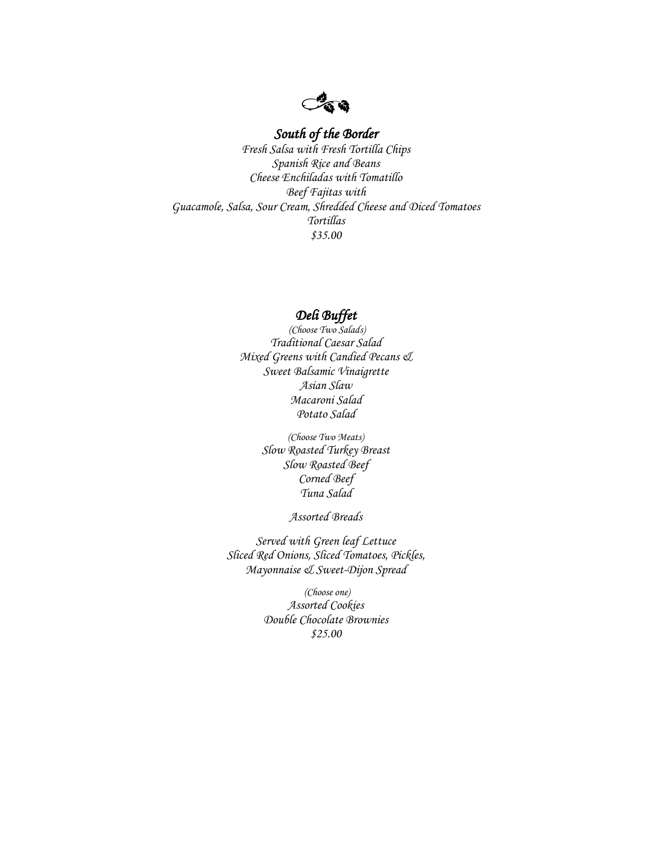$C^2$  and

## *South of the Border*

*Fresh Salsa with Fresh Tortilla Chips Spanish Rice and Beans Cheese Enchiladas with Tomatillo Beef Fajitas with Guacamole, Salsa, Sour Cream, Shredded Cheese and Diced Tomatoes Tortillas \$35.00*

#### *Deli Buffet*

*(Choose Two Salads) Traditional Caesar Salad Mixed Greens with Candied Pecans & Sweet Balsamic Vinaigrette Asian Slaw Macaroni Salad Potato Salad*

> *(Choose Two Meats) Slow Roasted Turkey Breast Slow Roasted Beef Corned Beef Tuna Salad*

> > *Assorted Breads*

*Served with Green leaf Lettuce Sliced Red Onions, Sliced Tomatoes, Pickles, Mayonnaise & Sweet-Dijon Spread*

> *(Choose one) Assorted Cookies Double Chocolate Brownies \$25.00*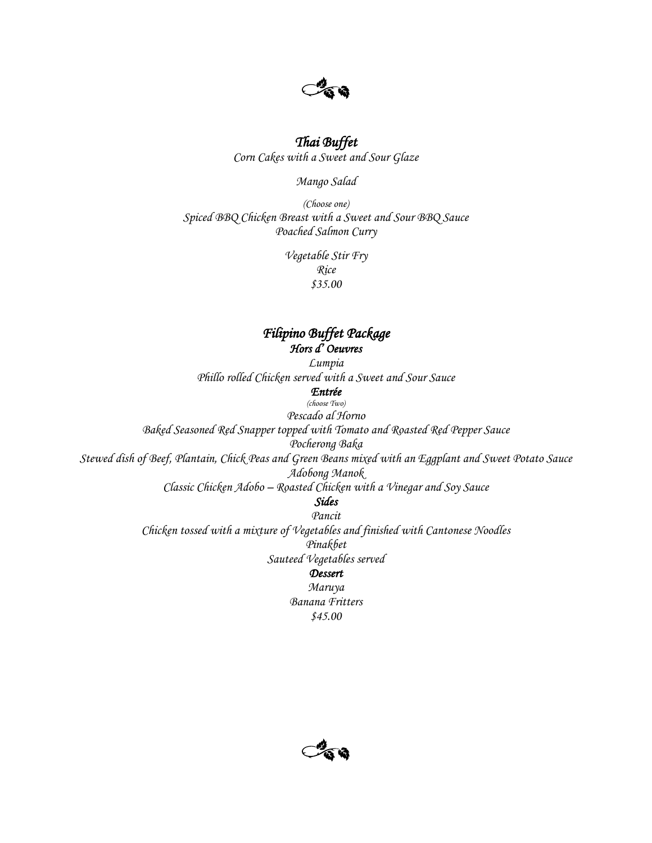

## *Thai Buffet*

*Corn Cakes with a Sweet and Sour Glaze*

*Mango Salad*

*(Choose one) Spiced BBQ Chicken Breast with a Sweet and Sour BBQ Sauce Poached Salmon Curry* 

> *Vegetable Stir Fry Rice \$35.00*

## *Filipino Buffet Package Hors d' Oeuvres*

*Lumpia* 

*Phillo rolled Chicken served with a Sweet and Sour Sauce*

*Entrée* 

*(choose Two) Pescado al Horno Baked Seasoned Red Snapper topped with Tomato and Roasted Red Pepper Sauce Pocherong Baka*

*Stewed dish of Beef, Plantain, Chick Peas and Green Beans mixed with an Eggplant and Sweet Potato Sauce Adobong Manok*

*Classic Chicken Adobo – Roasted Chicken with a Vinegar and Soy Sauce*

*Sides* 

*Pancit Chicken tossed with a mixture of Vegetables and finished with Cantonese Noodles Pinakbet Sauteed Vegetables served*

*Dessert* 

*Maruya Banana Fritters \$45.00*

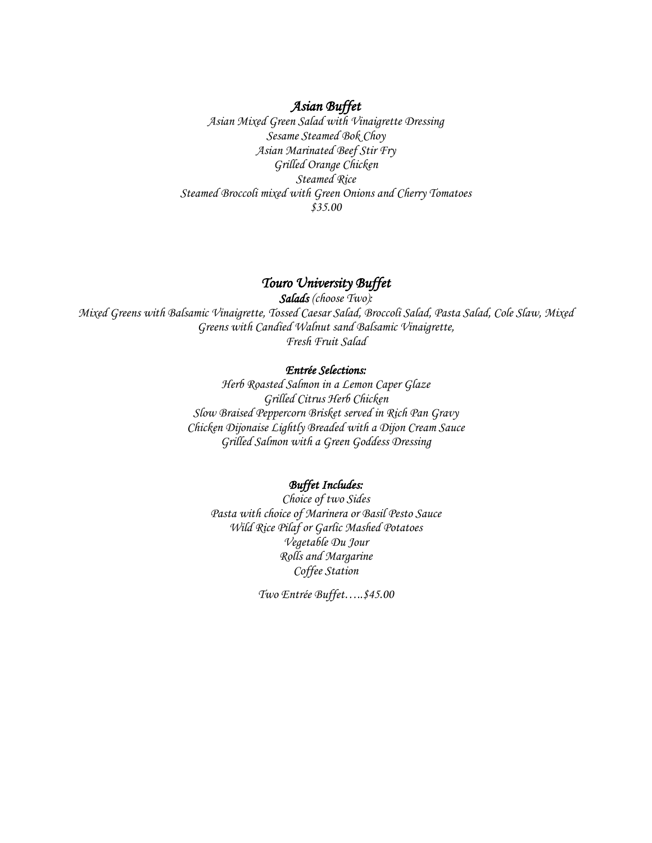#### *Asian Buffet*

*Asian Mixed Green Salad with Vinaigrette Dressing Sesame Steamed Bok Choy Asian Marinated Beef Stir Fry Grilled Orange Chicken Steamed Rice Steamed Broccoli mixed with Green Onions and Cherry Tomatoes \$35.00*

#### *Touro University Buffet*

*Salads (choose Two): Mixed Greens with Balsamic Vinaigrette, Tossed Caesar Salad, Broccoli Salad, Pasta Salad, Cole Slaw, Mixed Greens with Candied Walnut sand Balsamic Vinaigrette, Fresh Fruit Salad*

#### *Entrée Selections:*

*Herb Roasted Salmon in a Lemon Caper Glaze Grilled Citrus Herb Chicken Slow Braised Peppercorn Brisket served in Rich Pan Gravy Chicken Dijonaise Lightly Breaded with a Dijon Cream Sauce Grilled Salmon with a Green Goddess Dressing*

#### *Buffet Includes:*

*Choice of two Sides Pasta with choice of Marinera or Basil Pesto Sauce Wild Rice Pilaf or Garlic Mashed Potatoes Vegetable Du Jour Rolls and Margarine Coffee Station*

*Two Entrée Buffet…..\$45.00*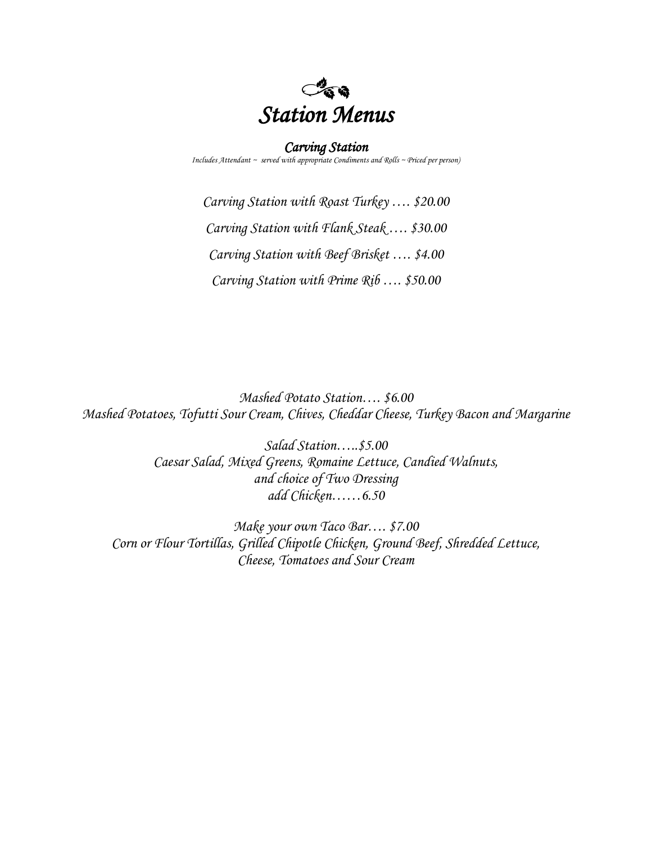

#### *Carving Station*

*Includes Attendant ~ served with appropriate Condiments and Rolls ~ Priced per person)*

*Carving Station with Roast Turkey …. \$20.00 Carving Station with Flank Steak …. \$30.00 Carving Station with Beef Brisket …. \$4.00 Carving Station with Prime Rib …. \$50.00*

*Mashed Potato Station…. \$6.00 Mashed Potatoes, Tofutti Sour Cream, Chives, Cheddar Cheese, Turkey Bacon and Margarine*

> *Salad Station…..\$5.00 Caesar Salad, Mixed Greens, Romaine Lettuce, Candied Walnuts, and choice of Two Dressing add Chicken……6.50*

*Make your own Taco Bar…. \$7.00 Corn or Flour Tortillas, Grilled Chipotle Chicken, Ground Beef, Shredded Lettuce, Cheese, Tomatoes and Sour Cream*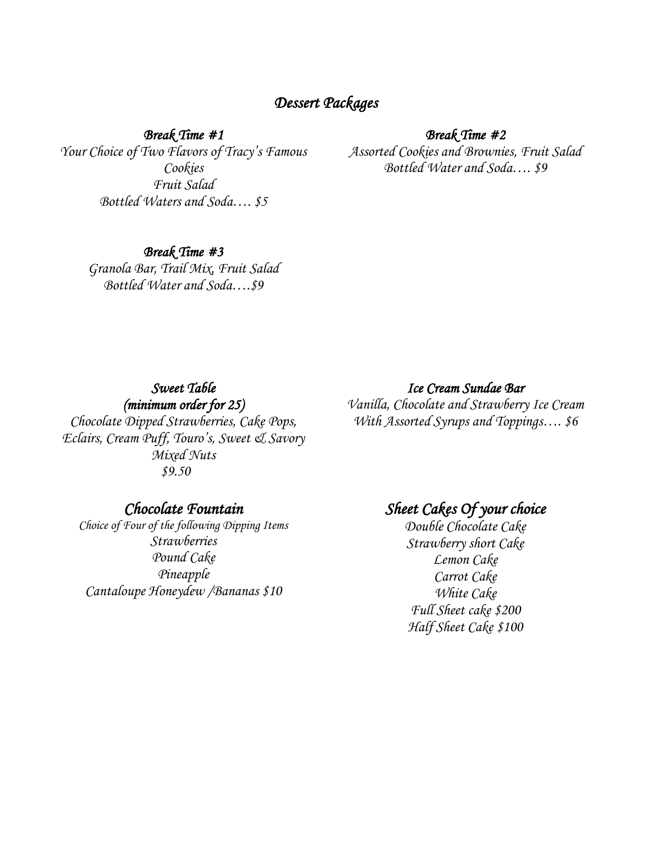## *Dessert Packages*

*Break Time #1* 

*Your Choice of Two Flavors of Tracy's Famous Cookies Fruit Salad Bottled Waters and Soda…. \$5*

#### *Break Time #2*

*Assorted Cookies and Brownies, Fruit Salad Bottled Water and Soda…. \$9*

## *Break Time #3*

*Granola Bar, Trail Mix, Fruit Salad Bottled Water and Soda….\$9*

## *Sweet Table (minimum order for 25)*

*Chocolate Dipped Strawberries, Cake Pops, Eclairs, Cream Puff, Touro's, Sweet & Savory Mixed Nuts \$9.50*

## *Chocolate Fountain*

*Choice of Four of the following Dipping Items Strawberries Pound Cake Pineapple Cantaloupe Honeydew /Bananas \$10*

#### *Ice Cream Sundae Bar*

*Vanilla, Chocolate and Strawberry Ice Cream With Assorted Syrups and Toppings…. \$6*

## *Sheet Cakes Of your choice*

*Double Chocolate Cake Strawberry short Cake Lemon Cake Carrot Cake White Cake Full Sheet cake \$200 Half Sheet Cake \$100*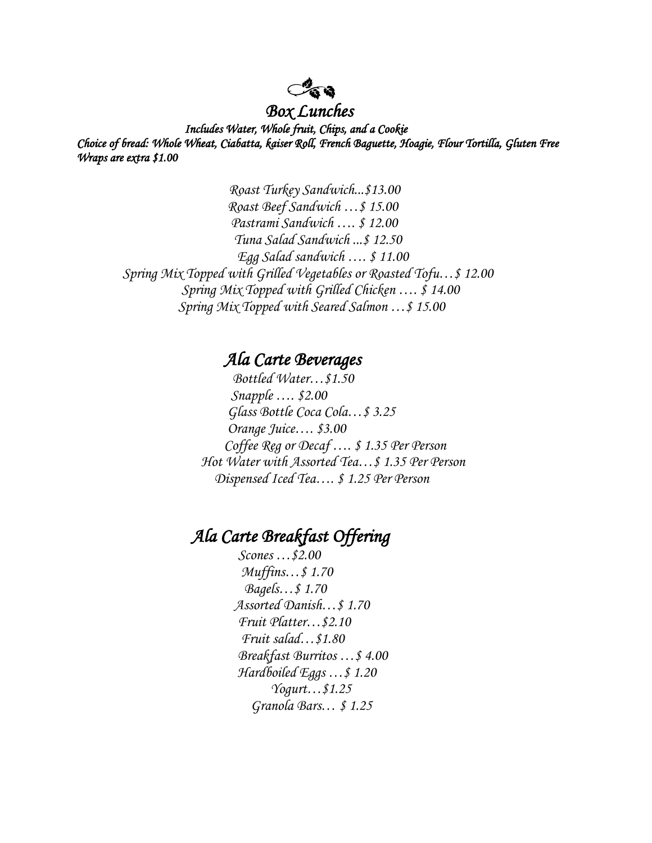## *Box Lunches*

 *Includes Water, Whole fruit, Chips, and a Cookie Choice of bread: Whole Wheat, Ciabatta, kaiser Roll, French Baguette, Hoagie, Flour Tortilla, Gluten Free Wraps are extra \$1.00* 

 *Roast Turkey Sandwich...\$13.00 Roast Beef Sandwich …\$ 15.00 Pastrami Sandwich …. \$ 12.00 Tuna Salad Sandwich ...\$ 12.50 Egg Salad sandwich …. \$ 11.00 Spring Mix Topped with Grilled Vegetables or Roasted Tofu…\$ 12.00 Spring Mix Topped with Grilled Chicken …. \$ 14.00 Spring Mix Topped with Seared Salmon …\$ 15.00*

## *Ala Carte Beverages*

 *Bottled Water…\$1.50 Snapple …. \$2.00 Glass Bottle Coca Cola…\$ 3.25 Orange Juice…. \$3.00 Coffee Reg or Decaf …. \$ 1.35 Per Person Hot Water with Assorted Tea…\$ 1.35 Per Person Dispensed Iced Tea…. \$ 1.25 Per Person*

## *Ala Carte Breakfast Offering*

 *Scones …\$2.00 Muffins…\$ 1.70 Bagels…\$ 1.70 Assorted Danish…\$ 1.70 Fruit Platter…\$2.10 Fruit salad…\$1.80 Breakfast Burritos …\$ 4.00 Hardboiled Eggs …\$ 1.20 Yogurt…\$1.25 Granola Bars… \$ 1.25*